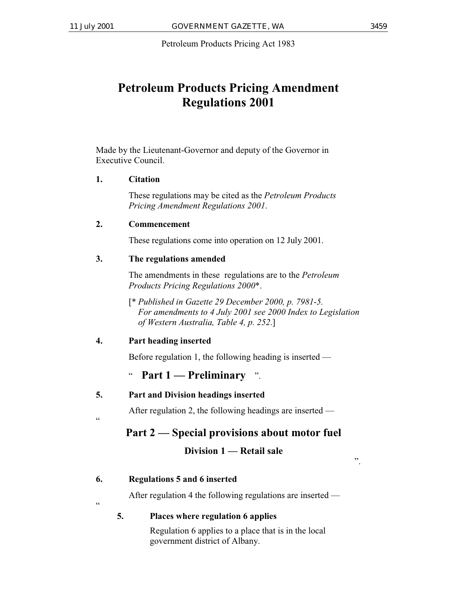Petroleum Products Pricing Act 1983

# **Petroleum Products Pricing Amendment Regulations 2001**

Made by the Lieutenant-Governor and deputy of the Governor in Executive Council.

### **1. Citation**

These regulations may be cited as the *Petroleum Products Pricing Amendment Regulations 2001*.

### **2. Commencement**

These regulations come into operation on 12 July 2001.

### **3. The regulations amended**

The amendments in these regulations are to the *Petroleum Products Pricing Regulations 2000*\*.

[\* *Published in Gazette 29 December 2000, p. 7981-5. For amendments to 4 July 2001 see 2000 Index to Legislation of Western Australia, Table 4, p. 252*.]

### **4. Part heading inserted**

"

 $\epsilon$ 

Before regulation 1, the following heading is inserted —

" **Part 1 — Preliminary** ".

### **5. Part and Division headings inserted**

After regulation 2, the following headings are inserted —

## **Part 2 — Special provisions about motor fuel**

### **Division 1 — Retail sale**

".

### **6. Regulations 5 and 6 inserted**

After regulation 4 the following regulations are inserted —

### **5. Places where regulation 6 applies**

Regulation 6 applies to a place that is in the local government district of Albany.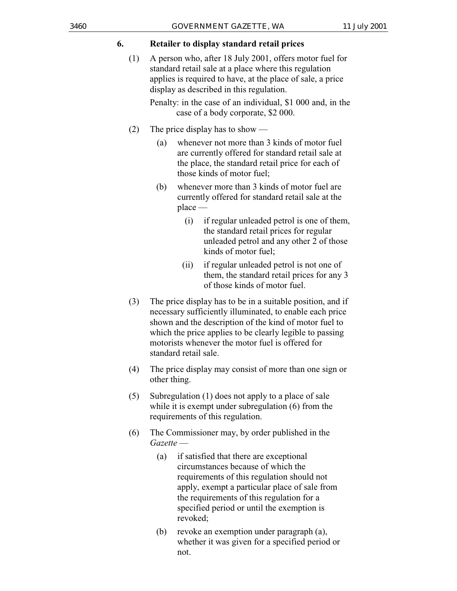#### **6. Retailer to display standard retail prices**

(1) A person who, after 18 July 2001, offers motor fuel for standard retail sale at a place where this regulation applies is required to have, at the place of sale, a price display as described in this regulation.

> Penalty: in the case of an individual, \$1 000 and, in the case of a body corporate, \$2 000.

- (2) The price display has to show
	- (a) whenever not more than 3 kinds of motor fuel are currently offered for standard retail sale at the place, the standard retail price for each of those kinds of motor fuel;
	- (b) whenever more than 3 kinds of motor fuel are currently offered for standard retail sale at the place —
		- (i) if regular unleaded petrol is one of them, the standard retail prices for regular unleaded petrol and any other 2 of those kinds of motor fuel;
		- (ii) if regular unleaded petrol is not one of them, the standard retail prices for any 3 of those kinds of motor fuel.
- (3) The price display has to be in a suitable position, and if necessary sufficiently illuminated, to enable each price shown and the description of the kind of motor fuel to which the price applies to be clearly legible to passing motorists whenever the motor fuel is offered for standard retail sale.
- (4) The price display may consist of more than one sign or other thing.
- (5) Subregulation (1) does not apply to a place of sale while it is exempt under subregulation (6) from the requirements of this regulation.
- (6) The Commissioner may, by order published in the *Gazette* —
	- (a) if satisfied that there are exceptional circumstances because of which the requirements of this regulation should not apply, exempt a particular place of sale from the requirements of this regulation for a specified period or until the exemption is revoked;
	- (b) revoke an exemption under paragraph (a), whether it was given for a specified period or not.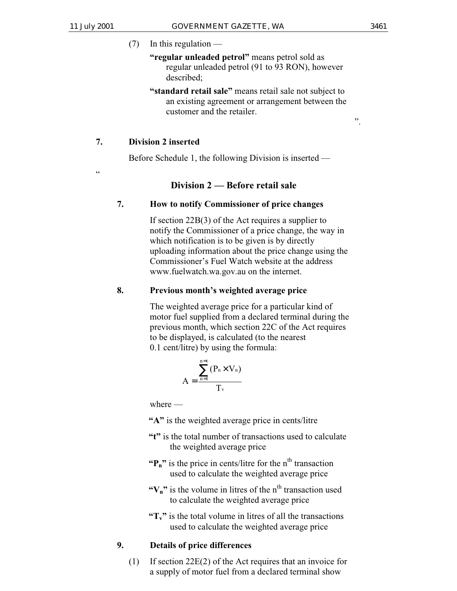$(7)$  In this regulation —

### **"regular unleaded petrol"** means petrol sold as regular unleaded petrol (91 to 93 RON), however described;

**"standard retail sale"** means retail sale not subject to an existing agreement or arrangement between the customer and the retailer.

#### ".

#### **7. Division 2 inserted**

Before Schedule 1, the following Division is inserted —

.<br>.

#### **Division 2 — Before retail sale**

#### **7. How to notify Commissioner of price changes**

If section 22B(3) of the Act requires a supplier to notify the Commissioner of a price change, the way in which notification is to be given is by directly uploading information about the price change using the Commissioner's Fuel Watch website at the address www.fuelwatch.wa.gov.au on the internet.

#### **8. Previous month's weighted average price**

The weighted average price for a particular kind of motor fuel supplied from a declared terminal during the previous month, which section 22C of the Act requires to be displayed, is calculated (to the nearest 0.1 cent/litre) by using the formula:

$$
A = \frac{\sum_{n=1}^{n=t} (P_n \times V_n)}{T_v}
$$

where —

- **"A"** is the weighted average price in cents/litre
- **"t"** is the total number of transactions used to calculate the weighted average price
- $\mathbf{P}_n$ " is the price in cents/litre for the n<sup>th</sup> transaction used to calculate the weighted average price
- " $V_n$ " is the volume in litres of the n<sup>th</sup> transaction used to calculate the weighted average price
- $T_v$ <sup>"</sup> is the total volume in litres of all the transactions used to calculate the weighted average price

### **9. Details of price differences**

(1) If section 22E(2) of the Act requires that an invoice for a supply of motor fuel from a declared terminal show